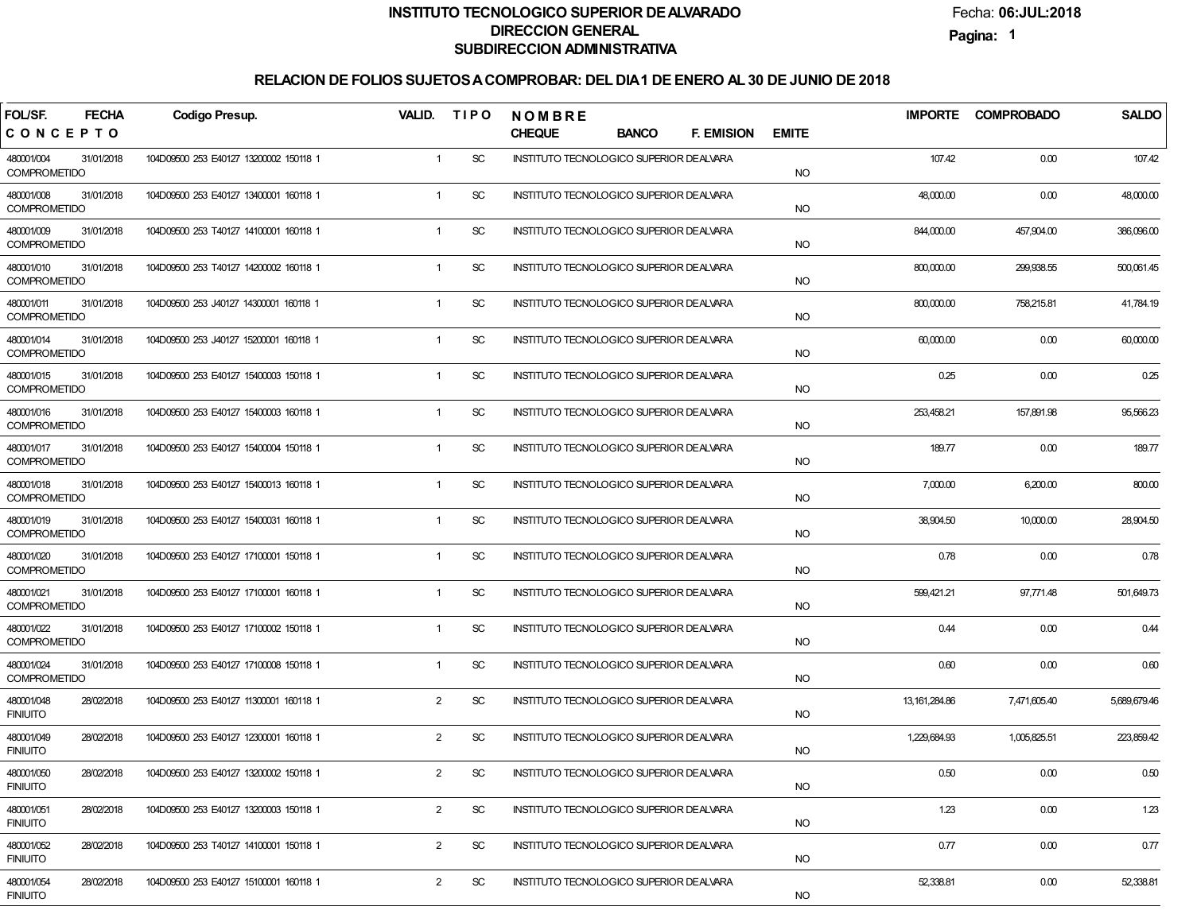Fecha:**06:JUL:2018**

**Pagina:1**

| <b>FECHA</b><br>FOL/SF.                         | <b>Codigo Presup.</b>                  |                | VALID. TIPO                 | <b>NOMBRE</b>                            |                   |              |                 | IMPORTE COMPROBADO | <b>SALDO</b> |
|-------------------------------------------------|----------------------------------------|----------------|-----------------------------|------------------------------------------|-------------------|--------------|-----------------|--------------------|--------------|
| CONCEPTO                                        |                                        |                |                             | <b>CHEQUE</b><br><b>BANCO</b>            | <b>F. EMISION</b> | <b>EMITE</b> |                 |                    |              |
| 480001/004<br>31/01/2018<br><b>COMPROMETIDO</b> | 104D09500 253 E40127 13200002 150118 1 | $\mathbf{1}$   | <b>SC</b>                   | INSTITUTO TECNOLOGICO SUPERIOR DEALVARA  |                   | <b>NO</b>    | 107.42          | 0.00               | 107.42       |
| 480001/008<br>31/01/2018<br><b>COMPROMETIDO</b> | 104D09500 253 E40127 13400001 160118 1 | $\mathbf{1}$   | <b>SC</b>                   | INSTITUTO TECNOLOGICO SUPERIOR DEALVARA  |                   | <b>NO</b>    | 48,000.00       | 0.00               | 48,000.00    |
| 480001/009<br>31/01/2018<br><b>COMPROMETIDO</b> | 104D09500 253 T40127 14100001 160118 1 | $\mathbf{1}$   | $\protect\operatorname{SC}$ | INSTITUTO TECNOLOGICO SUPERIOR DE ALVARA |                   | <b>NO</b>    | 844,000.00      | 457,904.00         | 386,096.00   |
| 480001/010<br>31/01/2018<br><b>COMPROMETIDO</b> | 104D09500 253 T40127 14200002 160118 1 | $\mathbf{1}$   | $\protect\operatorname{SC}$ | INSTITUTO TECNOLOGICO SUPERIOR DE ALVARA |                   | <b>NO</b>    | 800,000.00      | 299,938.55         | 500,061.45   |
| 480001/011<br>31/01/2018<br><b>COMPROMETIDO</b> | 104D09500 253 J40127 14300001 160118 1 | $\mathbf{1}$   | $\protect\operatorname{SC}$ | INSTITUTO TECNOLOGICO SUPERIOR DEALVARA  |                   | <b>NO</b>    | 800,000.00      | 758,215.81         | 41,784.19    |
| 480001/014<br>31/01/2018<br><b>COMPROMETIDO</b> | 104D09500 253 J40127 15200001 160118 1 | $\mathbf{1}$   | $\protect\operatorname{SC}$ | INSTITUTO TECNOLOGICO SUPERIOR DEALVARA  |                   | <b>NO</b>    | 60,000.00       | 0.00               | 60,000.00    |
| 480001/015<br>31/01/2018<br><b>COMPROMETIDO</b> | 104D09500 253 E40127 15400003 150118 1 | 1              | $\protect\operatorname{SC}$ | INSTITUTO TECNOLOGICO SUPERIOR DEALVARA  |                   | <b>NO</b>    | 0.25            | 0.00               | 0.25         |
| 480001/016<br>31/01/2018<br><b>COMPROMETIDO</b> | 104D09500 253 E40127 15400003 160118 1 | 1              | <b>SC</b>                   | INSTITUTO TECNOLOGICO SUPERIOR DEALVARA  |                   | <b>NO</b>    | 253,458.21      | 157,891.98         | 95,566.23    |
| 480001/017<br>31/01/2018<br><b>COMPROMETIDO</b> | 104D09500 253 E40127 15400004 150118 1 | 1              | <b>SC</b>                   | INSTITUTO TECNOLOGICO SUPERIOR DEALVARA  |                   | <b>NO</b>    | 189.77          | 0.00               | 189.77       |
| 480001/018<br>31/01/2018<br><b>COMPROMETIDO</b> | 104D09500 253 E40127 15400013 160118 1 | 1              | <b>SC</b>                   | INSTITUTO TECNOLOGICO SUPERIOR DEALVARA  |                   | <b>NO</b>    | 7,000.00        | 6,200.00           | 800.00       |
| 480001/019<br>31/01/2018<br><b>COMPROMETIDO</b> | 104D09500 253 E40127 15400031 160118 1 | $\mathbf{1}$   | <b>SC</b>                   | INSTITUTO TECNOLOGICO SUPERIOR DEALVARA  |                   | <b>NO</b>    | 38,904.50       | 10,000.00          | 28,904.50    |
| 480001/020<br>31/01/2018<br><b>COMPROMETIDO</b> | 104D09500 253 E40127 17100001 150118 1 | $\mathbf{1}$   | <b>SC</b>                   | INSTITUTO TECNOLOGICO SUPERIOR DEALVARA  |                   | <b>NO</b>    | 0.78            | 0.00               | 0.78         |
| 480001/021<br>31/01/2018<br><b>COMPROMETIDO</b> | 104D09500 253 E40127 17100001 160118 1 | $\mathbf{1}$   | <b>SC</b>                   | INSTITUTO TECNOLOGICO SUPERIOR DEALVARA  |                   | <b>NO</b>    | 599,421.21      | 97,771.48          | 501,649.73   |
| 480001/022<br>31/01/2018<br><b>COMPROMETIDO</b> | 104D09500 253 E40127 17100002 150118 1 | 1              | <b>SC</b>                   | INSTITUTO TECNOLOGICO SUPERIOR DEALVARA  |                   | <b>NO</b>    | 0.44            | 0.00               | 0.44         |
| 480001/024<br>31/01/2018<br><b>COMPROMETIDO</b> | 104D09500 253 E40127 17100008 150118 1 | 1              | $\protect\operatorname{SC}$ | INSTITUTO TECNOLOGICO SUPERIOR DEALVARA  |                   | <b>NO</b>    | 0.60            | 0.00               | 0.60         |
| 480001/048<br>28/02/2018<br><b>FINIUITO</b>     | 104D09500 253 E40127 11300001 160118 1 | $\overline{2}$ | $\protect\operatorname{SC}$ | INSTITUTO TECNOLOGICO SUPERIOR DEALVARA  |                   | <b>NO</b>    | 13, 161, 284.86 | 7,471,605.40       | 5,689,679.46 |
| 480001/049<br>28/02/2018<br><b>FINIUITO</b>     | 104D09500 253 E40127 12300001 160118 1 | $\overline{2}$ | <b>SC</b>                   | INSTITUTO TECNOLOGICO SUPERIOR DEALVARA  |                   | <b>NO</b>    | 1,229,684.93    | 1,005,825.51       | 223,859.42   |
| 480001/050<br>28/02/2018<br><b>FINIUITO</b>     | 104D09500 253 E40127 13200002 150118 1 | 2              | SC                          | INSTITUTO TECNOLOGICO SUPERIOR DE ALVARA |                   | <b>NO</b>    | 0.50            | 0.00               | 0.50         |
| 480001/051<br>28/02/2018<br><b>FINIUITO</b>     | 104D09500 253 E40127 13200003 150118 1 | $\overline{2}$ | <b>SC</b>                   | INSTITUTO TECNOLOGICO SUPERIOR DEALVARA  |                   | <b>NO</b>    | 1.23            | 0.00               | 1.23         |
| 480001/052<br>28/02/2018<br><b>FINIUITO</b>     | 104D09500 253 T40127 14100001 150118 1 | $\overline{2}$ | <b>SC</b>                   | INSTITUTO TECNOLOGICO SUPERIOR DE ALVARA |                   | <b>NO</b>    | 0.77            | 0.00               | 0.77         |
| 480001/054<br>28/02/2018<br><b>FINIUITO</b>     | 104D09500 253 E40127 15100001 160118 1 | $\overline{2}$ | $\protect\operatorname{SC}$ | INSTITUTO TECNOLOGICO SUPERIOR DEALVARA  |                   | NO           | 52,338.81       | 0.00               | 52,338.81    |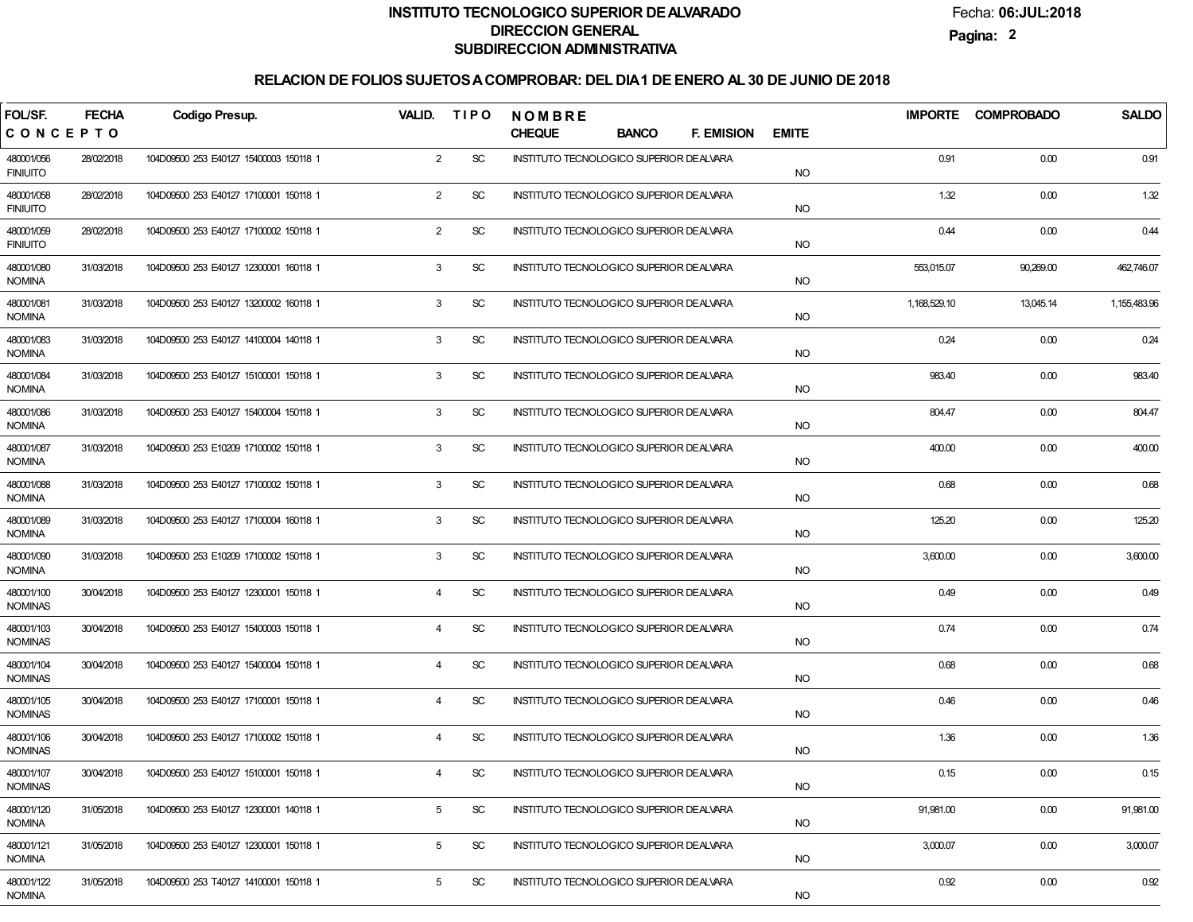Fecha:**06:JUL:2018**

**Pagina:2**

| FOL/SF.                       | <b>FECHA</b> | Codigo Presup.                         |                | VALID. TIPO                 | <b>NOMBRE</b>                            |              |                   |              |              | IMPORTE COMPROBADO | <b>SALDO</b> |
|-------------------------------|--------------|----------------------------------------|----------------|-----------------------------|------------------------------------------|--------------|-------------------|--------------|--------------|--------------------|--------------|
| CONCEPTO                      |              |                                        |                |                             | <b>CHEQUE</b>                            | <b>BANCO</b> | <b>F. EMISION</b> | <b>EMITE</b> |              |                    |              |
| 480001/056<br><b>FINIUITO</b> | 28/02/2018   | 104D09500 253 E40127 15400003 150118 1 | $\overline{2}$ | <b>SC</b>                   | INSTITUTO TECNOLOGICO SUPERIOR DE ALVARA |              |                   | <b>NO</b>    | 0.91         | 0.00               | 0.91         |
| 480001/058<br><b>FINIUITO</b> | 28/02/2018   | 104D09500 253 E40127 17100001 150118 1 | $\overline{2}$ | <b>SC</b>                   | INSTITUTO TECNOLOGICO SUPERIOR DEALVARA  |              |                   | <b>NO</b>    | 1.32         | 0.00               | 1.32         |
| 480001/059<br><b>FINIUITO</b> | 28/02/2018   | 104D09500 253 E40127 17100002 150118 1 | $\overline{2}$ | <b>SC</b>                   | INSTITUTO TECNOLOGICO SUPERIOR DEALVARA  |              |                   | <b>NO</b>    | 0.44         | 0.00               | 0.44         |
| 480001/080<br><b>NOMINA</b>   | 31/03/2018   | 104D09500 253 E40127 12300001 160118 1 | 3              | <b>SC</b>                   | INSTITUTO TECNOLOGICO SUPERIOR DE ALVARA |              |                   | <b>NO</b>    | 553,015.07   | 90,269.00          | 462,746.07   |
| 480001/081<br><b>NOMINA</b>   | 31/03/2018   | 104D09500 253 E40127 13200002 160118 1 | 3              | <b>SC</b>                   | INSTITUTO TECNOLOGICO SUPERIOR DEALVARA  |              |                   | <b>NO</b>    | 1,168,529.10 | 13,045.14          | 1,155,483.96 |
| 480001/083<br><b>NOMINA</b>   | 31/03/2018   | 104D09500 253 E40127 14100004 140118 1 | 3              | <b>SC</b>                   | INSTITUTO TECNOLOGICO SUPERIOR DEALVARA  |              |                   | <b>NO</b>    | 0.24         | 0.00               | 0.24         |
| 480001/084<br><b>NOMINA</b>   | 31/03/2018   | 104D09500 253 E40127 15100001 150118 1 | 3              | <b>SC</b>                   | INSTITUTO TECNOLOGICO SUPERIOR DEALVARA  |              |                   | <b>NO</b>    | 983.40       | 0.00               | 983.40       |
| 480001/086<br><b>NOMINA</b>   | 31/03/2018   | 104D09500 253 E40127 15400004 150118 1 | 3              | <b>SC</b>                   | INSTITUTO TECNOLOGICO SUPERIOR DEALVARA  |              |                   | <b>NO</b>    | 804.47       | 0.00               | 804.47       |
| 480001/087<br><b>NOMINA</b>   | 31/03/2018   | 104D09500 253 E10209 17100002 150118 1 | 3              | <b>SC</b>                   | INSTITUTO TECNOLOGICO SUPERIOR DEALVARA  |              |                   | <b>NO</b>    | 400.00       | 0.00               | 400.00       |
| 480001/088<br><b>NOMINA</b>   | 31/03/2018   | 104D09500 253 E40127 17100002 150118 1 | 3              | <b>SC</b>                   | INSTITUTO TECNOLOGICO SUPERIOR DEALVARA  |              |                   | <b>NO</b>    | 0.68         | 0.00               | 0.68         |
| 480001/089<br><b>NOMINA</b>   | 31/03/2018   | 104D09500 253 E40127 17100004 160118 1 | 3              | <b>SC</b>                   | INSTITUTO TECNOLOGICO SUPERIOR DEALVARA  |              |                   | <b>NO</b>    | 125.20       | 0.00               | 125.20       |
| 480001/090<br><b>NOMINA</b>   | 31/03/2018   | 104D09500 253 E10209 17100002 150118 1 | 3              | <b>SC</b>                   | INSTITUTO TECNOLOGICO SUPERIOR DEALVARA  |              |                   | <b>NO</b>    | 3,600.00     | 0.00               | 3,600.00     |
| 480001/100<br><b>NOMINAS</b>  | 30/04/2018   | 104D09500 253 E40127 12300001 150118 1 | $\overline{4}$ | <b>SC</b>                   | INSTITUTO TECNOLOGICO SUPERIOR DEALVARA  |              |                   | <b>NO</b>    | 0.49         | 0.00               | 0.49         |
| 480001/103<br><b>NOMINAS</b>  | 30/04/2018   | 104D09500 253 E40127 15400003 150118 1 | $\overline{4}$ | <b>SC</b>                   | INSTITUTO TECNOLOGICO SUPERIOR DEALVARA  |              |                   | <b>NO</b>    | 0.74         | 0.00               | 0.74         |
| 480001/104<br><b>NOMINAS</b>  | 30/04/2018   | 104D09500 253 E40127 15400004 150118 1 | 4              | <b>SC</b>                   | INSTITUTO TECNOLOGICO SUPERIOR DEALVARA  |              |                   | <b>NO</b>    | 0.68         | 0.00               | 0.68         |
| 480001/105<br><b>NOMINAS</b>  | 30/04/2018   | 104D09500 253 E40127 17100001 150118 1 | 4              | SC                          | INSTITUTO TECNOLOGICO SUPERIOR DEALVARA  |              |                   | <b>NO</b>    | 0.46         | 0.00               | 0.46         |
| 480001/106<br><b>NOMINAS</b>  | 30/04/2018   | 104D09500 253 E40127 17100002 150118 1 | $\overline{4}$ | SC                          | INSTITUTO TECNOLOGICO SUPERIOR DEALVARA  |              |                   | <b>NO</b>    | 1.36         | 0.00               | 1.36         |
| 480001/107<br><b>NOMINAS</b>  | 30/04/2018   | 104D09500 253 E40127 15100001 150118 1 | $\overline{4}$ | SC                          | INSTITUTO TECNOLOGICO SUPERIOR DE ALVARA |              |                   | <b>NO</b>    | 0.15         | 0.00               | 0.15         |
| 480001/120<br><b>NOMINA</b>   | 31/05/2018   | 104D09500 253 E40127 12300001 140118 1 | 5              | $\protect\operatorname{SC}$ | INSTITUTO TECNOLOGICO SUPERIOR DEALVARA  |              |                   | <b>NO</b>    | 91,981.00    | 0.00               | 91,981.00    |
| 480001/121<br><b>NOMINA</b>   | 31/05/2018   | 104D09500 253 E40127 12300001 150118 1 | 5              | SC                          | INSTITUTO TECNOLOGICO SUPERIOR DE ALVARA |              |                   | <b>NO</b>    | 3,000.07     | 0.00               | 3,000.07     |
| 480001/122<br>NOMINA          | 31/05/2018   | 104D09500 253 T40127 14100001 150118 1 | 5              | SC                          | INSTITUTO TECNOLOGICO SUPERIOR DEALVARA  |              |                   | <b>NO</b>    | 0.92         | 0.00               | 0.92         |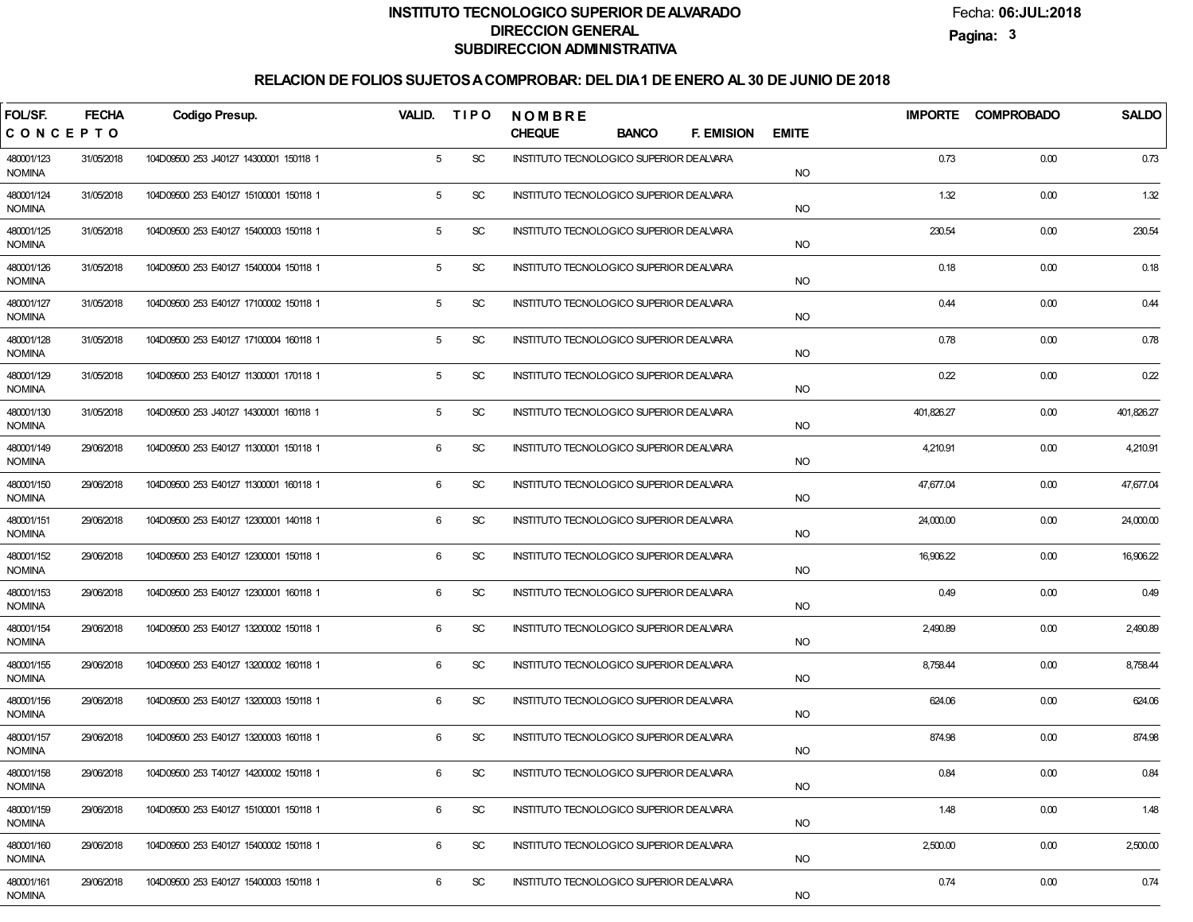Fecha:**06:JUL:2018**

**Pagina:3**

| FOL/SF.                     | <b>FECHA</b> | <b>Codigo Presup.</b>                  | VALID.          | <b>TIPO</b>                 | <b>NOMBRE</b>                                   |              |                   |              |            | IMPORTE COMPROBADO | <b>SALDO</b> |
|-----------------------------|--------------|----------------------------------------|-----------------|-----------------------------|-------------------------------------------------|--------------|-------------------|--------------|------------|--------------------|--------------|
| CONCEPTO                    |              |                                        |                 |                             | <b>CHEQUE</b>                                   | <b>BANCO</b> | <b>F. EMISION</b> | <b>EMITE</b> |            |                    |              |
| 480001/123<br><b>NOMINA</b> | 31/05/2018   | 104D09500 253 J40127 14300001 150118 1 | $5\overline{)}$ | SC                          | INSTITUTO TECNOLOGICO SUPERIOR DEALVARA         |              |                   | <b>NO</b>    | 0.73       | 0.00               | 0.73         |
| 480001/124<br><b>NOMINA</b> | 31/05/2018   | 104D09500 253 E40127 15100001 150118 1 | 5               | SC                          | INSTITUTO TECNOLOGICO SUPERIOR DEALVARA         |              |                   | <b>NO</b>    | 1.32       | 0.00               | 1.32         |
| 480001/125<br><b>NOMINA</b> | 31/05/2018   | 104D09500 253 E40127 15400003 150118 1 | 5               | SC                          | INSTITUTO TECNOLOGICO SUPERIOR DEALVARA         |              |                   | <b>NO</b>    | 230.54     | 0.00               | 230.54       |
| 480001/126<br><b>NOMINA</b> | 31/05/2018   | 104D09500 253 E40127 15400004 150118 1 | 5               | SC                          | INSTITUTO TECNOLOGICO SUPERIOR DEALVARA         |              |                   | <b>NO</b>    | 0.18       | 0.00               | 0.18         |
| 480001/127<br><b>NOMINA</b> | 31/05/2018   | 104D09500 253 E40127 17100002 150118 1 | 5               | SC                          | INSTITUTO TECNOLOGICO SUPERIOR DEALVARA         |              |                   | <b>NO</b>    | 0.44       | 0.00               | 0.44         |
| 480001/128<br><b>NOMINA</b> | 31/05/2018   | 104D09500 253 E40127 17100004 160118 1 | 5               | SC                          | INSTITUTO TECNOLOGICO SUPERIOR DEALVARA         |              |                   | <b>NO</b>    | 0.78       | 0.00               | 0.78         |
| 480001/129<br><b>NOMINA</b> | 31/05/2018   | 104D09500 253 E40127 11300001 170118 1 | 5               | SC                          | INSTITUTO TECNOLOGICO SUPERIOR DEALVARA         |              |                   | <b>NO</b>    | 0.22       | 0.00               | 0.22         |
| 480001/130<br><b>NOMINA</b> | 31/05/2018   | 104D09500 253 J40127 14300001 160118 1 | 5               | SC                          | INSTITUTO TECNOLOGICO SUPERIOR DEALVARA         |              |                   | <b>NO</b>    | 401,826.27 | 0.00               | 401,826.27   |
| 480001/149<br><b>NOMINA</b> | 29/06/2018   | 104D09500 253 E40127 11300001 150118 1 | 6               | SC                          | INSTITUTO TECNOLOGICO SUPERIOR DEALVARA         |              |                   | <b>NO</b>    | 4,210.91   | 0.00               | 4,210.91     |
| 480001/150<br><b>NOMINA</b> | 29/06/2018   | 104D09500 253 E40127 11300001 160118 1 | 6               | <b>SC</b>                   | INSTITUTO TECNOLOGICO SUPERIOR DEALVARA         |              |                   | <b>NO</b>    | 47,677.04  | 0.00               | 47,677.04    |
| 480001/151<br><b>NOMINA</b> | 29/06/2018   | 104D09500 253 E40127 12300001 140118 1 | 6               | <b>SC</b>                   | <b>INSTITUTO TECNOLOGICO SUPERIOR DE ALVARA</b> |              |                   | <b>NO</b>    | 24,000.00  | 0.00               | 24,000.00    |
| 480001/152<br><b>NOMINA</b> | 29/06/2018   | 104D09500 253 E40127 12300001 150118 1 | 6               | <b>SC</b>                   | INSTITUTO TECNOLOGICO SUPERIOR DEALVARA         |              |                   | <b>NO</b>    | 16,906.22  | 0.00               | 16,906.22    |
| 480001/153<br><b>NOMINA</b> | 29/06/2018   | 104D09500 253 E40127 12300001 160118 1 | 6               | <b>SC</b>                   | INSTITUTO TECNOLOGICO SUPERIOR DEALVARA         |              |                   | <b>NO</b>    | 0.49       | 0.00               | 0.49         |
| 480001/154<br><b>NOMINA</b> | 29/06/2018   | 104D09500 253 E40127 13200002 150118 1 | 6               | <b>SC</b>                   | INSTITUTO TECNOLOGICO SUPERIOR DEALVARA         |              |                   | <b>NO</b>    | 2,490.89   | 0.00               | 2,490.89     |
| 480001/155<br><b>NOMINA</b> | 29/06/2018   | 104D09500 253 E40127 13200002 160118 1 | 6               | <b>SC</b>                   | INSTITUTO TECNOLOGICO SUPERIOR DEALVARA         |              |                   | <b>NO</b>    | 8,758.44   | 0.00               | 8,758.44     |
| 480001/156<br><b>NOMINA</b> | 29/06/2018   | 104D09500 253 E40127 13200003 150118 1 | 6               | <b>SC</b>                   | INSTITUTO TECNOLOGICO SUPERIOR DEALVARA         |              |                   | <b>NO</b>    | 624.06     | 0.00               | 624.06       |
| 480001/157<br><b>NOMINA</b> | 29/06/2018   | 104D09500 253 E40127 13200003 160118 1 | 6               | SC                          | INSTITUTO TECNOLOGICO SUPERIOR DEALVARA         |              |                   | <b>NO</b>    | 874.98     | 0.00               | 874.98       |
| 480001/158<br><b>NOMINA</b> | 29/06/2018   | 104D09500 253 T40127 14200002 150118 1 | 6               | SC                          | INSTITUTO TECNOLOGICO SUPERIOR DE ALVARA        |              |                   | <b>NO</b>    | 0.84       | 0.00               | 0.84         |
| 480001/159<br><b>NOMINA</b> | 29/06/2018   | 104D09500 253 E40127 15100001 150118 1 | 6               | $\protect\operatorname{SC}$ | INSTITUTO TECNOLOGICO SUPERIOR DEALVARA         |              |                   | <b>NO</b>    | 1.48       | 0.00               | 1.48         |
| 480001/160<br><b>NOMINA</b> | 29/06/2018   | 104D09500 253 E40127 15400002 150118 1 | 6               | SC                          | INSTITUTO TECNOLOGICO SUPERIOR DEALVARA         |              |                   | <b>NO</b>    | 2,500.00   | 0.00               | 2,500.00     |
| 480001/161<br>NOMINA        | 29/06/2018   | 104D09500 253 E40127 15400003 150118 1 | 6               | SC                          | INSTITUTO TECNOLOGICO SUPERIOR DEALVARA         |              |                   | <b>NO</b>    | 0.74       | 0.00               | 0.74         |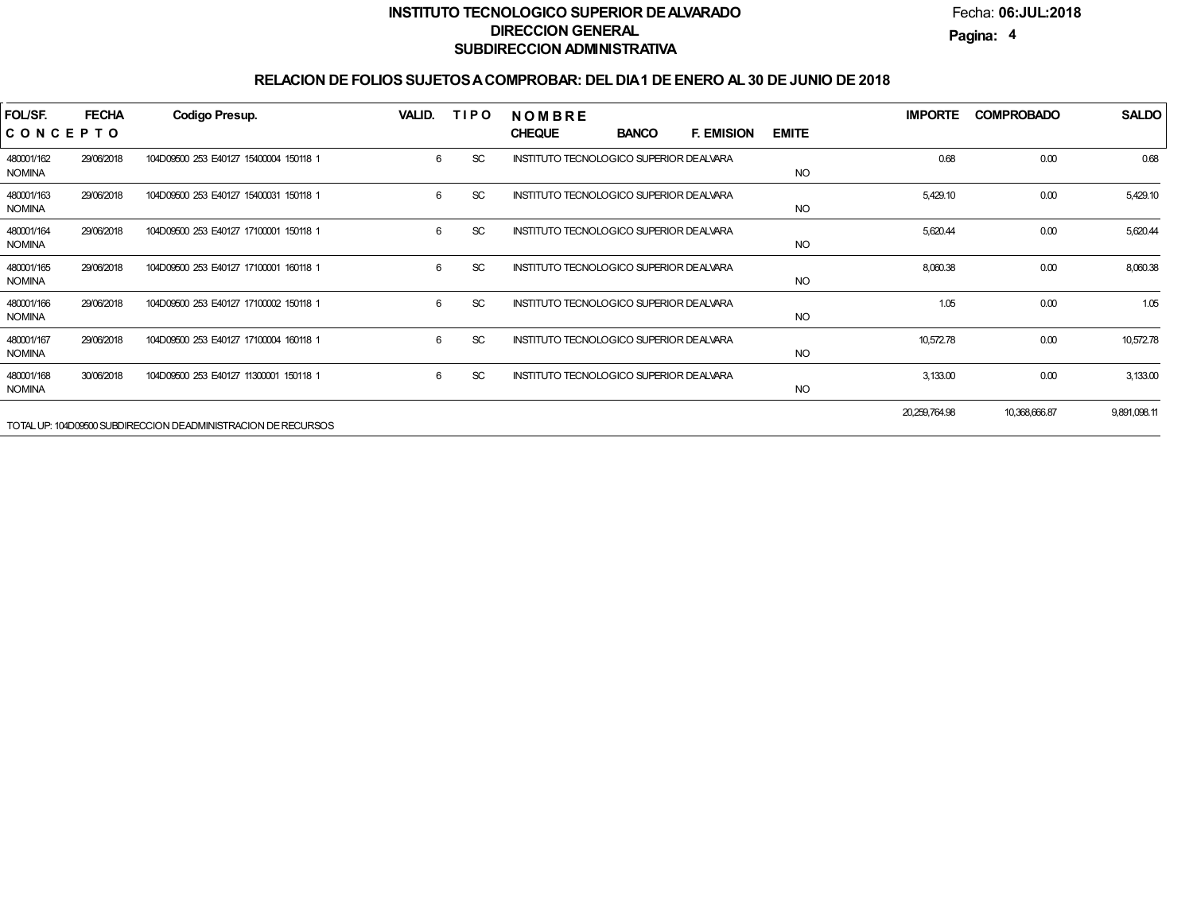Fecha:**06:JUL:2018**

**Pagina:4**

| FOL/SF.<br>CONCEPTO         | <b>FECHA</b> | Codigo Presup.                                                | <b>VALID.</b> | <b>TIPO</b> | <b>NOMBRE</b><br><b>CHEQUE</b>           | <b>BANCO</b> | <b>F. EMISION</b> | <b>EMITE</b> | <b>IMPORTE</b> | <b>COMPROBADO</b> | <b>SALDO</b> |
|-----------------------------|--------------|---------------------------------------------------------------|---------------|-------------|------------------------------------------|--------------|-------------------|--------------|----------------|-------------------|--------------|
| 480001/162<br><b>NOMINA</b> | 29/06/2018   | 104D09500 253 E40127 15400004 150118 1                        | 6             | <b>SC</b>   | INSTITUTO TECNOLOGICO SUPERIOR DEALVARA  |              |                   | <b>NO</b>    | 0.68           | 0.00              | 0.68         |
| 480001/163<br><b>NOMINA</b> | 29/06/2018   | 104D09500 253 E40127 15400031 150118 1                        | 6             | <b>SC</b>   | INSTITUTO TECNOLOGICO SUPERIOR DEALVARA  |              |                   | <b>NO</b>    | 5,429.10       | 0.00              | 5,429.10     |
| 480001/164<br><b>NOMINA</b> | 29/06/2018   | 104D09500 253 E40127 17100001 150118 1                        | 6             | <b>SC</b>   | INSTITUTO TECNOLOGICO SUPERIOR DEALVARA  |              |                   | <b>NO</b>    | 5,620.44       | 0.00              | 5,620.44     |
| 480001/165<br><b>NOMINA</b> | 29/06/2018   | 104D09500 253 E40127 17100001 160118 1                        | 6             | <b>SC</b>   | INSTITUTO TECNOLOGICO SUPERIOR DE ALVARA |              |                   | <b>NO</b>    | 8,060.38       | 0.00              | 8,060.38     |
| 480001/166<br><b>NOMINA</b> | 29/06/2018   | 104D09500 253 E40127 17100002 150118 1                        | 6             | <b>SC</b>   | INSTITUTO TECNOLOGICO SUPERIOR DE ALVARA |              |                   | <b>NO</b>    | 1.05           | 0.00              | 1.05         |
| 480001/167<br><b>NOMINA</b> | 29/06/2018   | 104D09500 253 E40127 17100004 160118 1                        | 6             | <b>SC</b>   | INSTITUTO TECNOLOGICO SUPERIOR DE ALVARA |              |                   | <b>NO</b>    | 10,572.78      | 0.00              | 10,572.78    |
| 480001/168<br><b>NOMINA</b> | 30/06/2018   | 104D09500 253 E40127 11300001 150118 1                        | 6             | <b>SC</b>   | INSTITUTO TECNOLOGICO SUPERIOR DE ALVARA |              |                   | <b>NO</b>    | 3,133.00       | 0.00              | 3,133.00     |
|                             |              | TOTAL UP: 104D09500 SUBDIRECCION DEADMINISTRACION DE RECURSOS |               |             |                                          |              |                   |              | 20,259,764.98  | 10,368,666.87     | 9,891,098.11 |